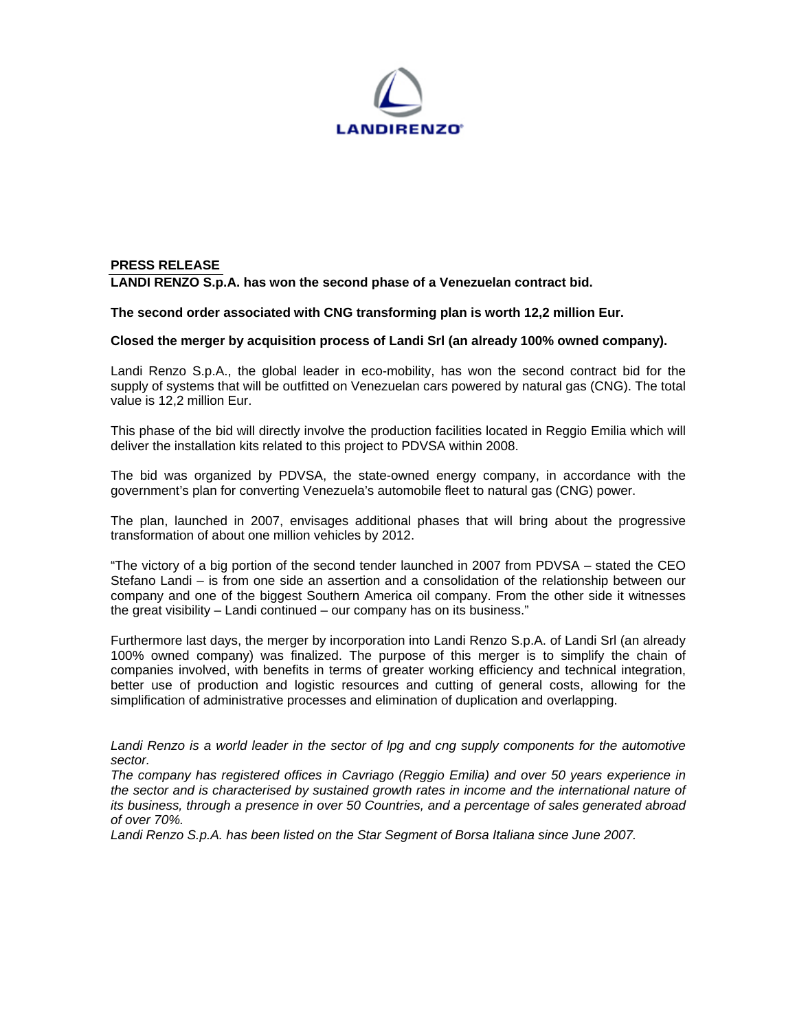

## **PRESS RELEASE LANDI RENZO S.p.A. has won the second phase of a Venezuelan contract bid.**

## **The second order associated with CNG transforming plan is worth 12,2 million Eur.**

## **Closed the merger by acquisition process of Landi Srl (an already 100% owned company).**

Landi Renzo S.p.A., the global leader in eco-mobility, has won the second contract bid for the supply of systems that will be outfitted on Venezuelan cars powered by natural gas (CNG). The total value is 12,2 million Eur.

This phase of the bid will directly involve the production facilities located in Reggio Emilia which will deliver the installation kits related to this project to PDVSA within 2008.

The bid was organized by PDVSA, the state-owned energy company, in accordance with the government's plan for converting Venezuela's automobile fleet to natural gas (CNG) power.

The plan, launched in 2007, envisages additional phases that will bring about the progressive transformation of about one million vehicles by 2012.

"The victory of a big portion of the second tender launched in 2007 from PDVSA – stated the CEO Stefano Landi – is from one side an assertion and a consolidation of the relationship between our company and one of the biggest Southern America oil company. From the other side it witnesses the great visibility – Landi continued – our company has on its business."

Furthermore last days, the merger by incorporation into Landi Renzo S.p.A. of Landi Srl (an already 100% owned company) was finalized. The purpose of this merger is to simplify the chain of companies involved, with benefits in terms of greater working efficiency and technical integration, better use of production and logistic resources and cutting of general costs, allowing for the simplification of administrative processes and elimination of duplication and overlapping.

*Landi Renzo is a world leader in the sector of lpg and cng supply components for the automotive sector.* 

*The company has registered offices in Cavriago (Reggio Emilia) and over 50 years experience in the sector and is characterised by sustained growth rates in income and the international nature of its business, through a presence in over 50 Countries, and a percentage of sales generated abroad of over 70%.* 

*Landi Renzo S.p.A. has been listed on the Star Segment of Borsa Italiana since June 2007.*